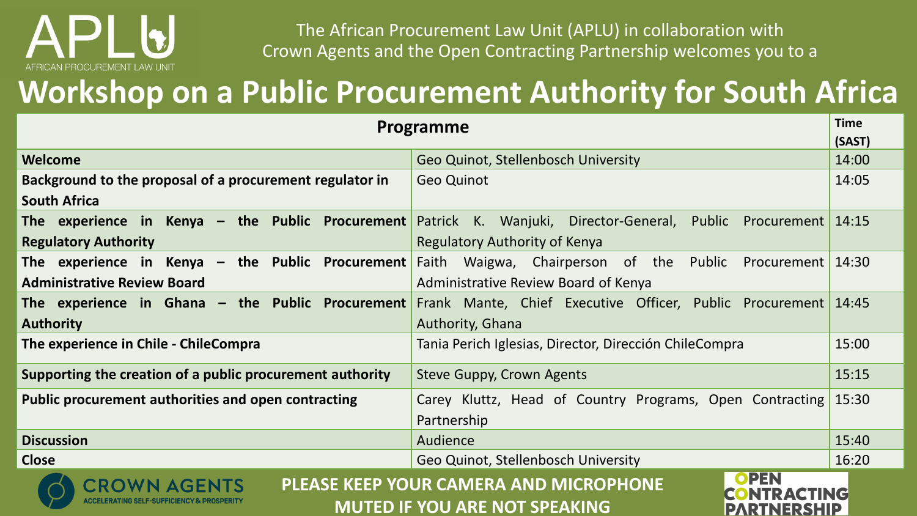# CAN PROCUREMENT LAW UNIT

The African Procurement Law Unit (APLU) in collaboration with Crown Agents and the Open Contracting Partnership welcomes you to a

## **Workshop on a Public Procurement Authority for South Africa**

| Programme                                                                                                    |                                                                | <b>Time</b> |
|--------------------------------------------------------------------------------------------------------------|----------------------------------------------------------------|-------------|
|                                                                                                              |                                                                | (SAST)      |
| Welcome                                                                                                      | Geo Quinot, Stellenbosch University                            | 14:00       |
| Background to the proposal of a procurement regulator in                                                     | <b>Geo Quinot</b>                                              | 14:05       |
| <b>South Africa</b>                                                                                          |                                                                |             |
| The experience in Kenya $-$ the Public Procurement                                                           | Patrick K. Wanjuki, Director-General,<br>Public<br>Procurement | 14:15       |
| <b>Regulatory Authority</b>                                                                                  | <b>Regulatory Authority of Kenya</b>                           |             |
| The experience in Kenya $-$ the Public Procurement                                                           | Faith<br>Waigwa, Chairperson of the Public<br>Procurement      | 14:30       |
| <b>Administrative Review Board</b>                                                                           | Administrative Review Board of Kenya                           |             |
| The experience in Ghana $-$ the Public Procurement                                                           | Frank Mante, Chief Executive Officer, Public Procurement       | 14:45       |
| <b>Authority</b>                                                                                             | Authority, Ghana                                               |             |
| The experience in Chile - ChileCompra                                                                        | Tania Perich Iglesias, Director, Dirección ChileCompra         | 15:00       |
| Supporting the creation of a public procurement authority                                                    | Steve Guppy, Crown Agents                                      | 15:15       |
| <b>Public procurement authorities and open contracting</b>                                                   | Carey Kluttz, Head of Country Programs, Open Contracting       | 15:30       |
|                                                                                                              | Partnership                                                    |             |
| <b>Discussion</b>                                                                                            | Audience                                                       | 15:40       |
| <b>Close</b>                                                                                                 | Geo Quinot, Stellenbosch University                            | 16:20       |
| OPEN<br><b>PLEASE KEEP YOUR CAMERA AND MICROPHONE</b><br><b>MUTED IF YOU ARE NOT SPEAKING</b><br>PARTNERSHIP |                                                                |             |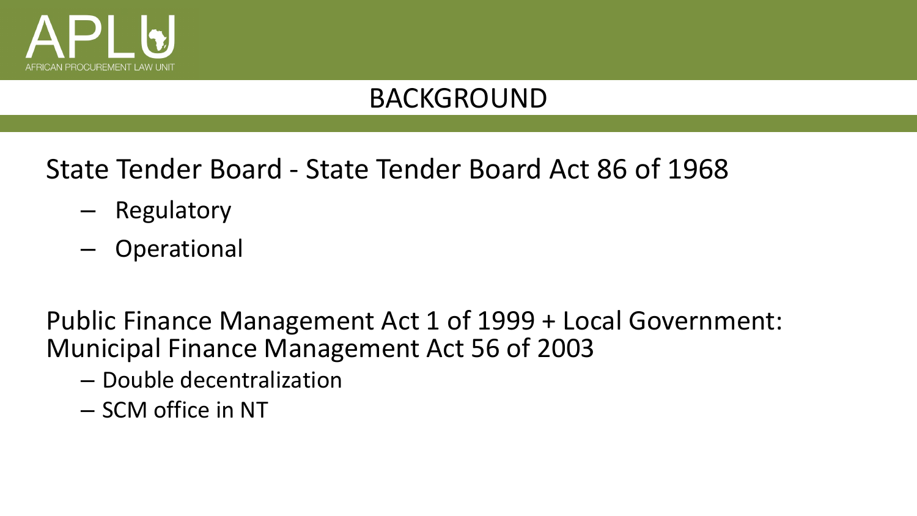

State Tender Board - State Tender Board Act 86 of 1968

- Regulatory
- Operational

Public Finance Management Act 1 of 1999 + Local Government: Municipal Finance Management Act 56 of 2003

- Double decentralization
- SCM office in NT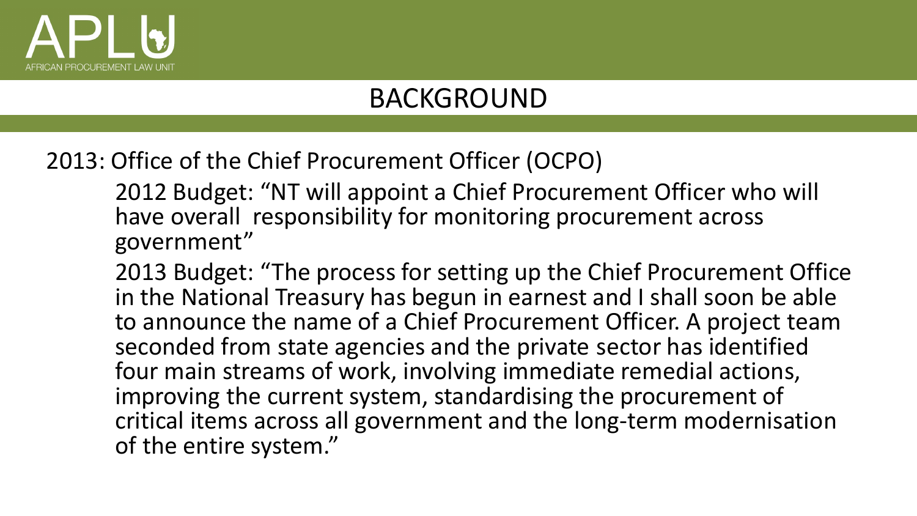

2013: Office of the Chief Procurement Officer (OCPO)

2012 Budget: "NT will appoint a Chief Procurement Officer who will have overall responsibility for monitoring procurement across government"

2013 Budget: "The process for setting up the Chief Procurement Office in the National Treasury has begun in earnest and I shall soon be able to announce the name of a Chief Procurement Officer. A project team seconded from state agencies and the private sector has identified four main streams of work, involving immediate remedial actions, improving the current system, standardising the procurement of critical items across all government and the long-term modernisation of the entire system."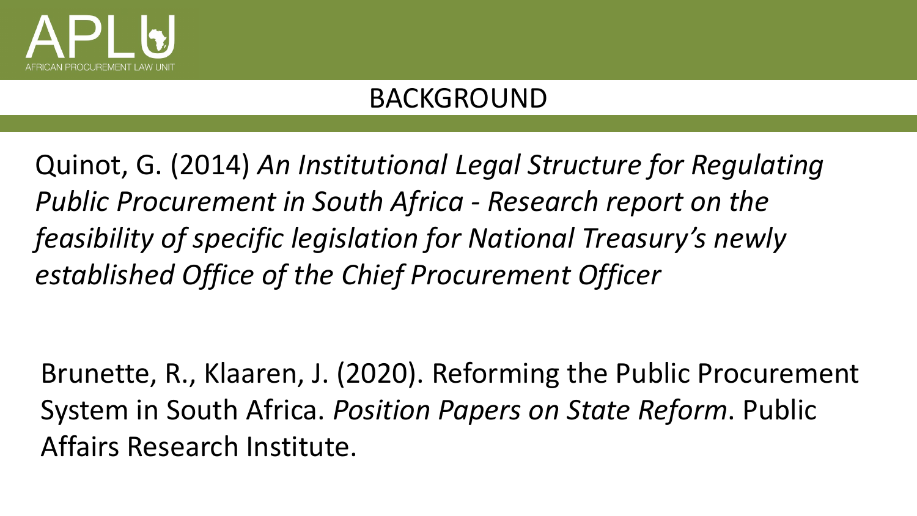

Quinot, G. (2014) *An Institutional Legal Structure for Regulating Public Procurement in South Africa - Research report on the feasibility of specific legislation for National Treasury's newly established Office of the Chief Procurement Officer* 

Brunette, R., Klaaren, J. (2020). Reforming the Public Procurement System in South Africa. *Position Papers on State Reform*. Public Affairs Research Institute.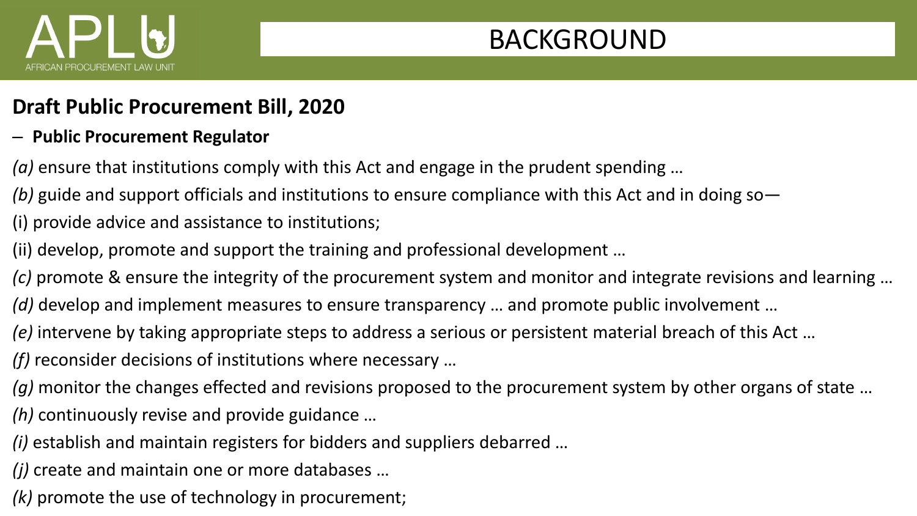

#### **Draft Public Procurement Bill, 2020**

- **Public Procurement Regulator**
- *(a)* ensure that institutions comply with this Act and engage in the prudent spending …
- *(b)* guide and support officials and institutions to ensure compliance with this Act and in doing so—
- (i) provide advice and assistance to institutions;
- (ii) develop, promote and support the training and professional development …
- *(c)* promote & ensure the integrity of the procurement system and monitor and integrate revisions and learning …
- *(d)* develop and implement measures to ensure transparency … and promote public involvement …
- *(e)* intervene by taking appropriate steps to address a serious or persistent material breach of this Act …
- *(f)* reconsider decisions of institutions where necessary …
- *(g)* monitor the changes effected and revisions proposed to the procurement system by other organs of state …
- *(h)* continuously revise and provide guidance …
- *(i)* establish and maintain registers for bidders and suppliers debarred …
- *(j)* create and maintain one or more databases …
- *(k)* promote the use of technology in procurement;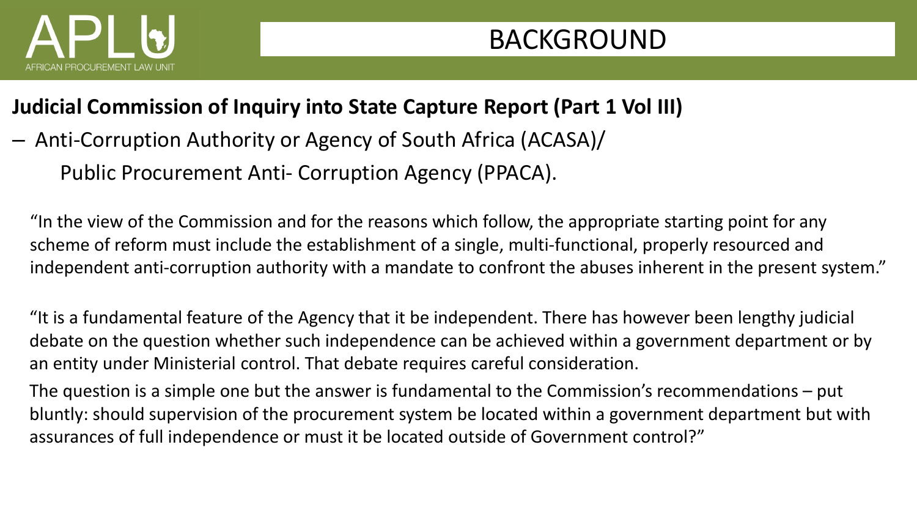

#### **Judicial Commission of Inquiry into State Capture Report (Part 1 Vol III)**

– Anti-Corruption Authority or Agency of South Africa (ACASA)/ Public Procurement Anti- Corruption Agency (PPACA).

"In the view of the Commission and for the reasons which follow, the appropriate starting point for any scheme of reform must include the establishment of a single, multi-functional, properly resourced and independent anti-corruption authority with a mandate to confront the abuses inherent in the present system."

"It is a fundamental feature of the Agency that it be independent. There has however been lengthy judicial debate on the question whether such independence can be achieved within a government department or by an entity under Ministerial control. That debate requires careful consideration.

The question is a simple one but the answer is fundamental to the Commission's recommendations – put bluntly: should supervision of the procurement system be located within a government department but with assurances of full independence or must it be located outside of Government control?"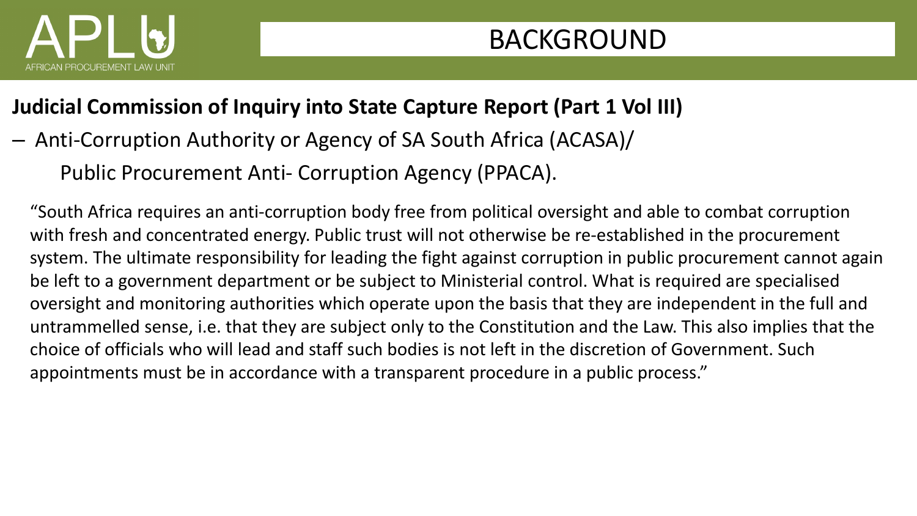

#### **Judicial Commission of Inquiry into State Capture Report (Part 1 Vol III)**

– Anti-Corruption Authority or Agency of SA South Africa (ACASA)/

Public Procurement Anti- Corruption Agency (PPACA).

"South Africa requires an anti-corruption body free from political oversight and able to combat corruption with fresh and concentrated energy. Public trust will not otherwise be re-established in the procurement system. The ultimate responsibility for leading the fight against corruption in public procurement cannot again be left to a government department or be subject to Ministerial control. What is required are specialised oversight and monitoring authorities which operate upon the basis that they are independent in the full and untrammelled sense, i.e. that they are subject only to the Constitution and the Law. This also implies that the choice of officials who will lead and staff such bodies is not left in the discretion of Government. Such appointments must be in accordance with a transparent procedure in a public process."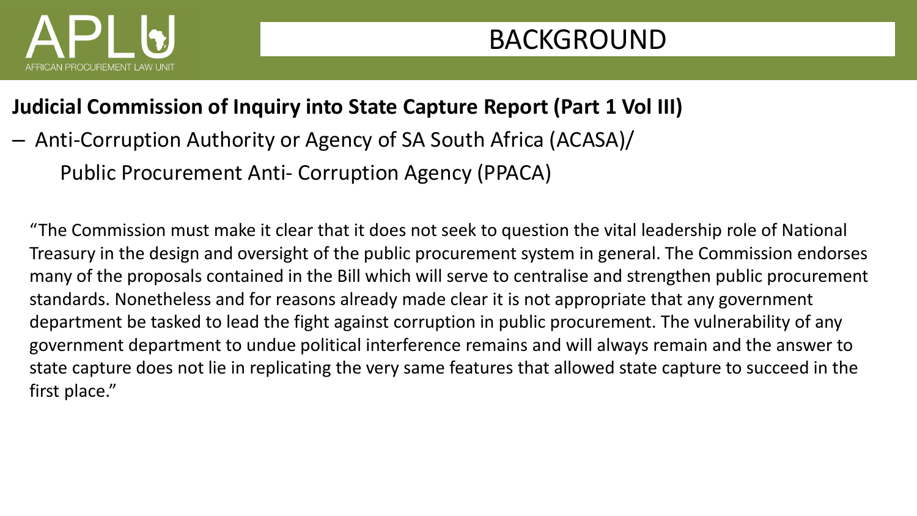

#### **Judicial Commission of Inquiry into State Capture Report (Part 1 Vol III)**

– Anti-Corruption Authority or Agency of SA South Africa (ACASA)/ Public Procurement Anti- Corruption Agency (PPACA)

"The Commission must make it clear that it does not seek to question the vital leadership role of National Treasury in the design and oversight of the public procurement system in general. The Commission endorses many of the proposals contained in the Bill which will serve to centralise and strengthen public procurement standards. Nonetheless and for reasons already made clear it is not appropriate that any government department be tasked to lead the fight against corruption in public procurement. The vulnerability of any government department to undue political interference remains and will always remain and the answer to state capture does not lie in replicating the very same features that allowed state capture to succeed in the first place."